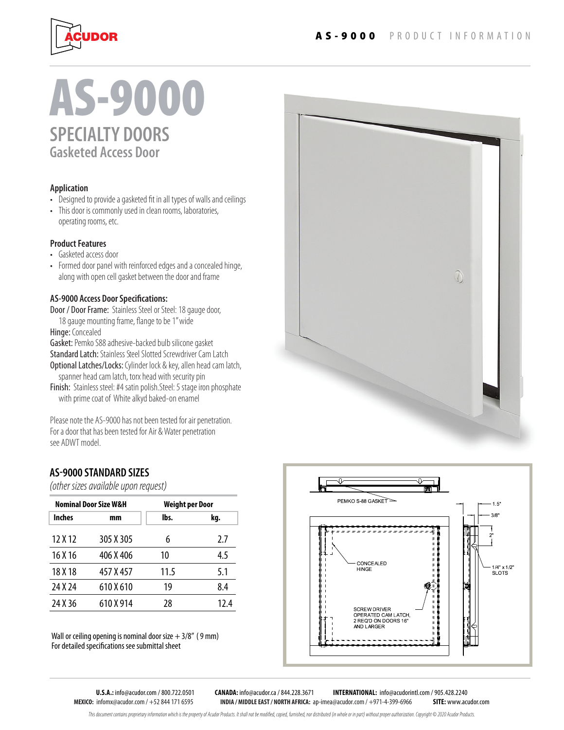

# **SPECIALTY DOORS Gasketed Access Door** AS-9000

#### **Application**

- Designed to provide a gasketed fit in all types of walls and ceilings
- This door is commonly used in clean rooms, laboratories, operating rooms, etc.

#### **Product Features**

- Gasketed access door
- Formed door panel with reinforced edges and a concealed hinge, along with open cell gasket between the door and frame

#### **AS-9000 Access Door Specifications:**

Door / Door Frame: Stainless Steel or Steel: 18 gauge door, 18 gauge mounting frame, flange to be 1" wide

Hinge: Concealed

Gasket: Pemko S88 adhesive-backed bulb silicone gasket Standard Latch: Stainless Steel Slotted Screwdriver Cam Latch Optional Latches/Locks: Cylinder lock & key, allen head cam latch,

spanner head cam latch, torx head with security pin

Finish: Stainless steel: #4 satin polish. Steel: 5 stage iron phosphate with prime coat of White alkyd baked-on enamel

Please note the AS-9000 has not been tested for air penetration. For a door that has been tested for Air & Water penetration see ADWT model.

### **AS9000 STANDARD SIZES**

*(other sizes available upon request)*

| Nominal Door Size W&H |           | Weight per Door |      |
|-----------------------|-----------|-----------------|------|
| <b>Inches</b>         | mm        | lbs.            | kg.  |
| 12 X 12               | 305 X 305 | 6               | 2.7  |
| 16 X 16               | 406 X 406 | 10              | 4.5  |
| 18 X 18               | 457 X 457 | 11.5            | 5.1  |
| 24 X 24               | 610 X 610 | 19              | 8.4  |
| 24 X 36               | 610 X 914 | 28              | 12.4 |

Wall or ceiling opening is nominal door size  $+3/8''$  (9 mm) For detailed specifications see submittal sheet





**MEXICO:** infomx@acudor.com / +52 844 171 6595 **INDIA / MIDDLE EAST / NORTH AFRICA:** ap-imea@acudor.com / +971-4-399-6966 **SITE:** www.acudor.com

**U.S.A.:** info@acudor.com / 800.722.0501 **CANADA:** info@acudor.ca / 844.228.3671 **INTERNATIONAL:** info@acudorintl.com / 905.428.2240